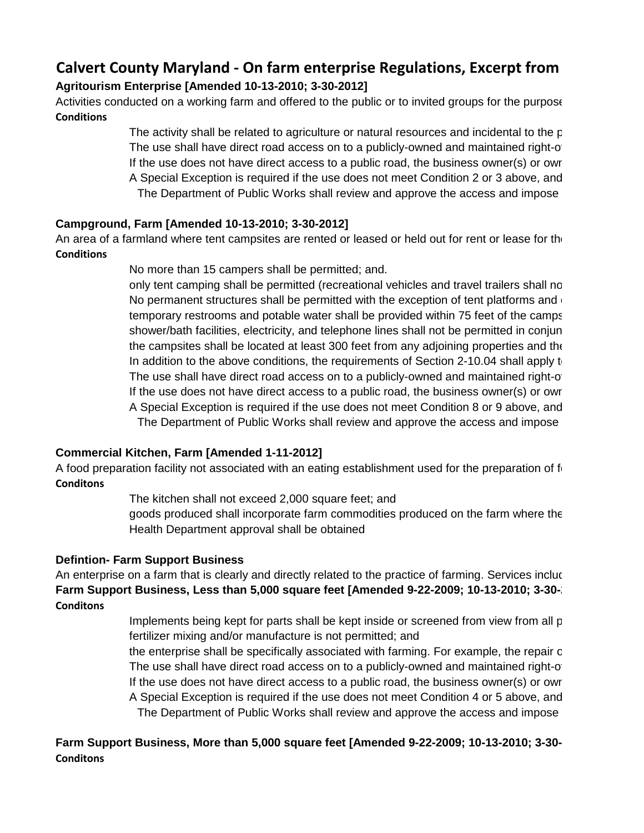# **Calvert County Maryland - On farm enterprise Regulations, Excerpt from Agritourism Enterprise [Amended 10-13-2010; 3-30-2012]**

Activities conducted on a working farm and offered to the public or to invited groups for the purpose **Conditions**

> The activity shall be related to agriculture or natural resources and incidental to the  $p$ The use shall have direct road access on to a publicly-owned and maintained right-of-If the use does not have direct access to a public road, the business owner(s) or own A Special Exception is required if the use does not meet Condition 2 or 3 above, and The Department of Public Works shall review and approve the access and impose

# **Campground, Farm [Amended 10-13-2010; 3-30-2012]**

An area of a farmland where tent campsites are rented or leased or held out for rent or lease for the **Conditions**

No more than 15 campers shall be permitted; and.

only tent camping shall be permitted (recreational vehicles and travel trailers shall no No permanent structures shall be permitted with the exception of tent platforms and  $\epsilon$ temporary restrooms and potable water shall be provided within 75 feet of the camps shower/bath facilities, electricity, and telephone lines shall not be permitted in conjun the campsites shall be located at least 300 feet from any adjoining properties and the In addition to the above conditions, the requirements of Section 2-10.04 shall apply to The use shall have direct road access on to a publicly-owned and maintained right-of-If the use does not have direct access to a public road, the business owner(s) or own A Special Exception is required if the use does not meet Condition 8 or 9 above, and The Department of Public Works shall review and approve the access and impose

# **Commercial Kitchen, Farm [Amended 1-11-2012]**

A food preparation facility not associated with an eating establishment used for the preparation of for **Conditons**

The kitchen shall not exceed 2,000 square feet; and

goods produced shall incorporate farm commodities produced on the farm where the Health Department approval shall be obtained

# **Defintion- Farm Support Business**

An enterprise on a farm that is clearly and directly related to the practice of farming. Services incluc **Farm Support Business, Less than 5,000 square feet [Amended 9-22-2009; 10-13-2010; 3-30-2014] Conditons**

> Implements being kept for parts shall be kept inside or screened from view from all p fertilizer mixing and/or manufacture is not permitted; and

> the enterprise shall be specifically associated with farming. For example, the repair of the farm tractors and implements when the service or general well and service service or general well and service  $\mu$ The use shall have direct road access on to a publicly-owned and maintained right-of-If the use does not have direct access to a public road, the business owner(s) or own A Special Exception is required if the use does not meet Condition 4 or 5 above, and The Department of Public Works shall review and approve the access and impose

**Farm Support Business, More than 5,000 square feet [Amended 9-22-2009; 10-13-2010; 3-30-2012] Conditons**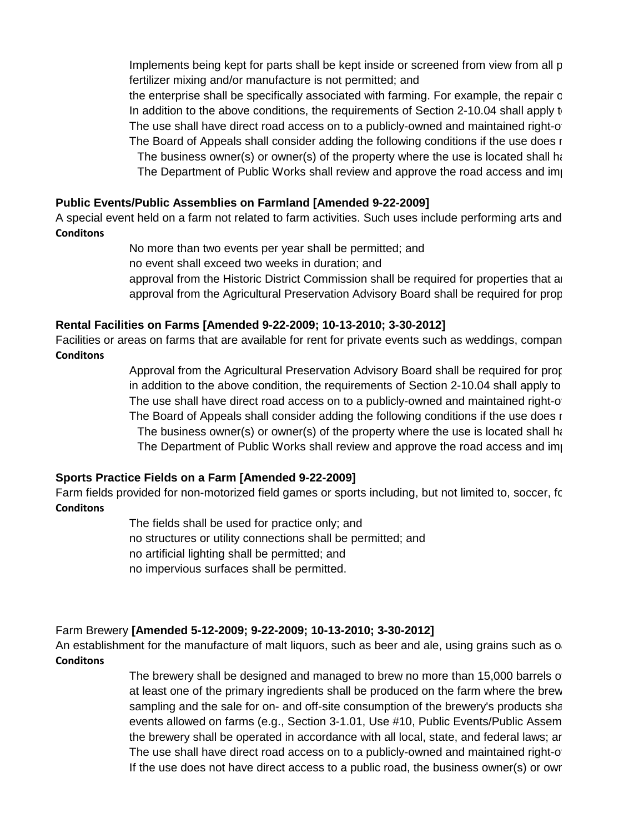Implements being kept for parts shall be kept inside or screened from view from all p fertilizer mixing and/or manufacture is not permitted; and

the enterprise shall be specifically associated with farming. For example, the repair o In addition to the above conditions, the requirements of Section 2-10.04 shall apply to The use shall have direct road access on to a publicly-owned and maintained right-of-The Board of Appeals shall consider adding the following conditions if the use does road: The business owner(s) or owner(s) of the property where the use is located shall have solution-The Department of Public Works shall review and approve the road access and impose

#### **Public Events/Public Assemblies on Farmland [Amended 9-22-2009]**

A special event held on a farm not related to farm activities. Such uses include performing arts and **Conditons**

> No more than two events per year shall be permitted; and no event shall exceed two weeks in duration; and approval from the Historic District Commission shall be required for properties that and the Ristoric District approval from the Agricultural Preservation Advisory Board shall be required for prop

#### **Rental Facilities on Farms [Amended 9-22-2009; 10-13-2010; 3-30-2012]**

Facilities or areas on farms that are available for rent for private events such as weddings, compan **Conditons**

> Approval from the Agricultural Preservation Advisory Board shall be required for properties in addition to the above condition, the requirements of Section 2-10.04 shall apply to The use shall have direct road access on to a publicly-owned and maintained right-of-The Board of Appeals shall consider adding the following conditions if the use does r The business owner(s) or owner(s) of the property where the use is located shall have  $\frac{1}{2}$ The Department of Public Works shall review and approve the road access and impose

#### **Sports Practice Fields on a Farm [Amended 9-22-2009]**

Farm fields provided for non-motorized field games or sports including, but not limited to, soccer, football, r **Conditons**

> The fields shall be used for practice only; and no structures or utility connections shall be permitted; and no artificial lighting shall be permitted; and no impervious surfaces shall be permitted.

#### Farm Brewery **[Amended 5-12-2009; 9-22-2009; 10-13-2010; 3-30-2012]**

An establishment for the manufacture of malt liquors, such as beer and ale, using grains such as or **Conditons**

> The brewery shall be designed and managed to brew no more than 15,000 barrels of at least one of the primary ingredients shall be produced on the farm where the brew sampling and the sale for on- and off-site consumption of the brewery's products shall events allowed on farms (e.g., Section 3-1.01, Use #10, Public Events/Public Assem the brewery shall be operated in accordance with all local, state, and federal laws; are The use shall have direct road access on to a publicly-owned and maintained right-of-If the use does not have direct access to a public road, the business owner(s) or own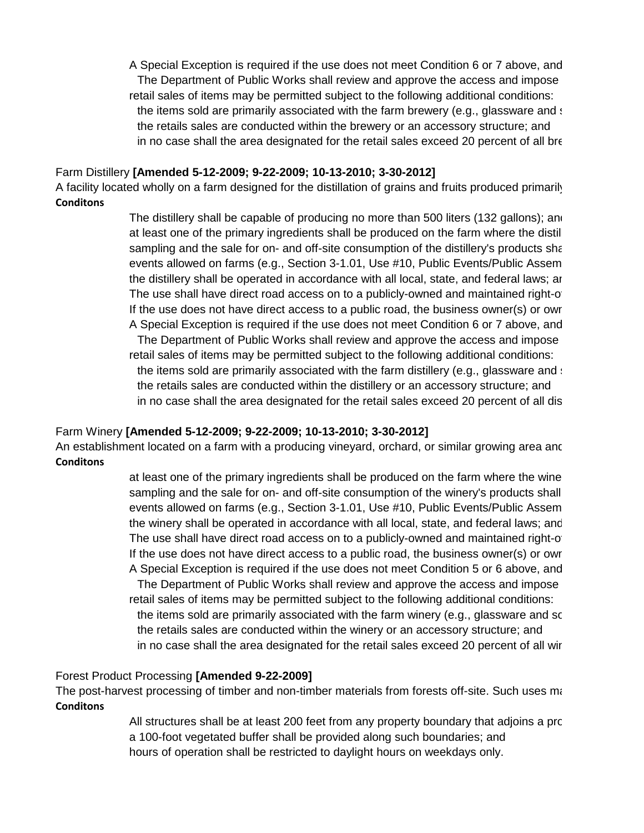A Special Exception is required if the use does not meet Condition 6 or 7 above, and The Department of Public Works shall review and approve the access and impose retail sales of items may be permitted subject to the following additional conditions: the items sold are primarily associated with the farm brewery (e.g., glassware and s the retails sales are conducted within the brewery or an accessory structure; and in no case shall the area designated for the retail sales exceed 20 percent of all bre

#### Farm Distillery **[Amended 5-12-2009; 9-22-2009; 10-13-2010; 3-30-2012]**

A facility located wholly on a farm designed for the distillation of grains and fruits produced primarily **Conditons**

> The distillery shall be capable of producing no more than 500 liters (132 gallons); and at least one of the primary ingredients shall be produced on the farm where the distil sampling and the sale for on- and off-site consumption of the distillery's products shall events allowed on farms (e.g., Section 3-1.01, Use #10, Public Events/Public Assem the distillery shall be operated in accordance with all local, state, and federal laws; are The use shall have direct road access on to a publicly-owned and maintained right-of-If the use does not have direct access to a public road, the business owner(s) or own A Special Exception is required if the use does not meet Condition 6 or 7 above, and The Department of Public Works shall review and approve the access and impose retail sales of items may be permitted subject to the following additional conditions: the items sold are primarily associated with the farm distillery (e.g., glassware and : the retails sales are conducted within the distillery or an accessory structure; and in no case shall the area designated for the retail sales exceed 20 percent of all dis

#### Farm Winery **[Amended 5-12-2009; 9-22-2009; 10-13-2010; 3-30-2012]**

An establishment located on a farm with a producing vineyard, orchard, or similar growing area anc **Conditons**

> at least one of the primary ingredients shall be produced on the farm where the wine sampling and the sale for on- and off-site consumption of the winery's products shall events allowed on farms (e.g., Section 3-1.01, Use #10, Public Events/Public Assem the winery shall be operated in accordance with all local, state, and federal laws; and The use shall have direct road access on to a publicly-owned and maintained right-of-If the use does not have direct access to a public road, the business owner(s) or own A Special Exception is required if the use does not meet Condition 5 or 6 above, and The Department of Public Works shall review and approve the access and impose retail sales of items may be permitted subject to the following additional conditions: the items sold are primarily associated with the farm winery (e.g., glassware and sc the retails sales are conducted within the winery or an accessory structure; and in no case shall the area designated for the retail sales exceed 20 percent of all wir

#### Forest Product Processing **[Amended 9-22-2009]**

The post-harvest processing of timber and non-timber materials from forests off-site. Such uses me **Conditons**

> All structures shall be at least 200 feet from any property boundary that adjoins a property a 100-foot vegetated buffer shall be provided along such boundaries; and hours of operation shall be restricted to daylight hours on weekdays only.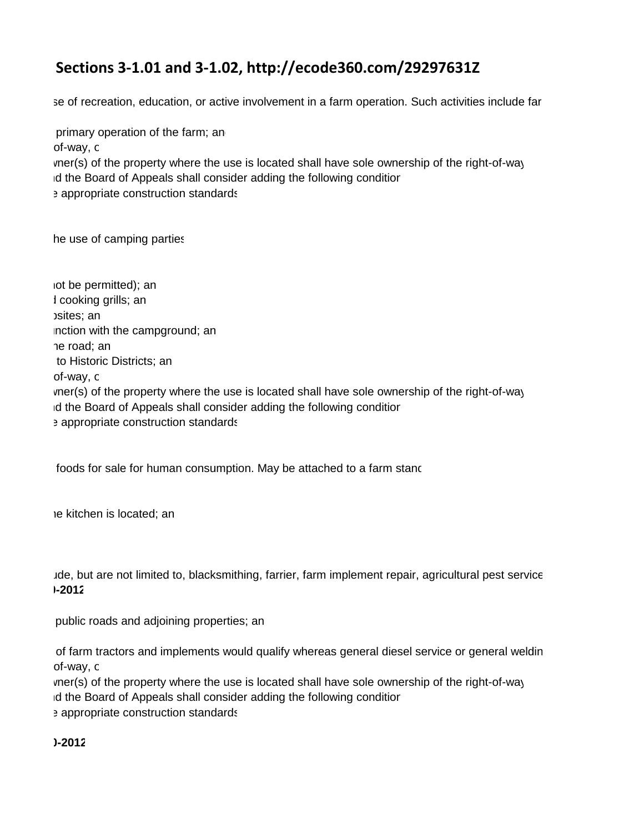# **Calvert County Maryland - On farm enterprise Regulations, Excerpt from Sections 3-1.01 and 3-1.02, http://ecode360.com/29297631Z**

se of recreation, education, or active involvement in a farm operation. Such activities include far

The activity shall be related to agriculture or natural resources and incidental to the primary operation of the farm; and incidental to the primary operation of the farm; and incidental to the primary operation of the far  $\sigma$  use shall have direct road access on to a public value  $\sigma$  public  $\sigma$  publicly-of-way, or a public of  $\sigma$ vner(s) of the property where the use is located shall have sole ownership of the right-of-way. d the Board of Appeals shall consider adding the following conditior Frame of Public Works shall review and approximate and impose approximate approximate approximate construction standards. The access approximate construction standards.

An area of camping parties are rented or leased or leased or leased or leased or leased or leased or leased or leased or leased or leased or leased or leased or leased or leased or lease for the use of camping parties.

 $\alpha$  tot be permitted); and trailers and travel trailers shall not be permitted (recreational vehicles and trailers shall not be permitted); and  $\Lambda$  cooking grills; and the exception of tent platforms and cooking grills; and cooking grills; and cooking grills; and cooking grills; and cooking grills; and cooking grills; and cooking grills; and cooking grills; and c  $t$ emporary restrictions and potable water shall be provided within  $\sigma$  feet of  $t$  feet of  $t$  feet of  $t$ inction with the campground; and telephone lines shall not be permitted by permitted and telephone lines shall not be permitted by permitted and the permittedin conjunction with the campground; and the permitted and the pe the road; and  $\alpha$  is a least 300 feet from any adjoining properties and the road; and the road; and the road; and the road; and the road; and the road; and the road; and the road; and the road; and the road; and the road In addition to the above conditions, the requirements of Section 2-10.04 shall apply to Historic Districts; an  $\sigma$  use shall have direct road access on to a public value  $\sigma$  public  $\sigma$  publicly-of-way, or  $\sigma$ vner(s) of the property where the use is located shall have sole ownership of the right-of-way. In the Board of Appeals shall consider adding the following conditior in the Board of Appeals shall consider adding the following condition: Frame of Public Works shall review and approximate and impose approximate approximate approximate construction standards. The access approximate construction standards.

foods for sale for human consumption. May be attached to a farm stand.

agoods produced shall incorporate farm commodities produced on the farmwhere the farmwhere the farmwhere the farmwhere the farmwhere the farmwhere the farmwhere the farmwhere the farmwhere the farmwhere the farmwhere the f

ude, but are not limited to, blacksmithing, farrier, farm implement repair, agricultural pest service **Farm Support Business, Less than 5,000 square feet [Amended 9-22-2009; 10-13-2010; 3-30-2012]**

public roads and adjoining properties; and viewfrom viewfrom viewfrom viewfrom all public roads and adjoining properties; and

of farm tractors and implements would qualify whereas general diesel service or general weldin  $\sigma$  use shall have direct road access on to a public value  $\sigma$  public  $\sigma$  publicly-of-way, or  $\sigma$ 

vner(s) of the property where the use is located shall have sole ownership of the right-of-way. In the Board of Appeals shall consider adding the following conditior and the Board of Appeals shall consider adding the following condition: Example 2 appropriate construction standards. The access and impose approximate approximate construction standards.

**Farm Support Business, More than 5,000 square feet [Amended 9-22-2009; 10-13-2010; 3-30-2012]**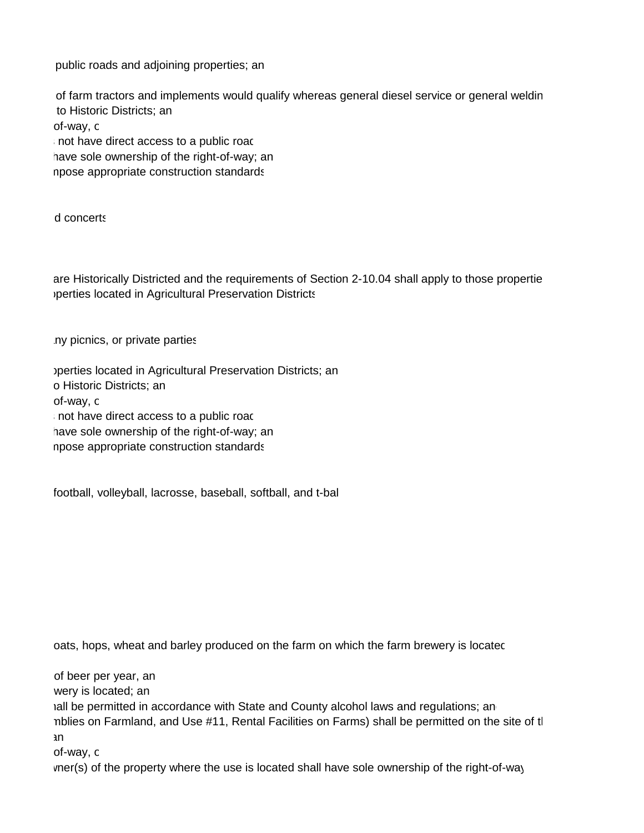public roads and adjoining properties; and viewfrom viewfrom viewfrom viewfrom all public roads and adjoining properties; and

of farm tractors and implements would qualify whereas general diesel service or general weldin In addition to the above conditions, the requirements of Section 2-10.04 shall apply to Historic Districts; an  $\sigma$  use shall have direct road access on to a public value  $\sigma$  public  $\sigma$  publicly-of-way, or a public of  $\sigma$ The Board of Appeals shall consider adding the following conditions in the following conditions in the following conditions in the following conditions in the following conditions in the following conditions in the follow have sole ownership of the right-of-way; and use is located shall have sole ownership of the right-of-way; and The Department of Public Works shall review and approve the road access and impose appropriate construction standards. The road impose appropriate construction standards.

A special event held on a farm not related to farm activities. Such uses include performing arts and concerts.

are Historically Districted and the requirements of Section 2-10.04 shall apply to those propertie perties located in Agricultural Preservation Districts. The required for properties located in Agricultural Preservation Districts.

Iny picnics, or private parties are available for rent for private events such as well as well as well as well as we

approval from the Agricultural Preservation Districts; and properties required for properties located in Agricultural Preservation Districts; and in addition to the above condition, the requirements of Section 2-10.04 shall apply to Historic Districts; and  $\sigma$  use shall have direct road access on to a public value  $\sigma$  public  $\sigma$  publicly-of-way, or a public of  $\sigma$ The Board of Appeals shall consider adding the following conditions in the following conditions in the following conditions in the following conditions in the following conditions in the following conditions in the follow have sole ownership of the right-of-way; and use is located shall have sole ownership of the right-of-way; and The Department of Public Works shall review and approve the road access and impose appropriate construction standards. The road impose appropriate construction standards.

football, volleyball, lacrosse, baseball, softball, and t-ball. The not limited to sports including to the football, and t-ball.

oats, hops, wheat and barley produced on the farm on which the farm brewery is locatec

of beer per year, and managed to brew no more than 15,000 barrels of beer per year, and than 15,000 barrels of b at least one of the primary ingredients shall be primary induced on the farm where the brewers shall be primary in the farm where the farm where the farm where the brewers is located; and where the brewers in the farm wher hall be permitted in accordance with State and County alcohol laws and regulations; an nblies on Farmland, and Use #11, Rental Facilities on Farms) shall be permitted on the site of tl  $\tan \frac{1}{2}$  $\sigma$  use shall have direct road access on to a public value  $\sigma$  public  $\sigma$  publicly-of-way, or  $\sigma$ 

vner(s) of the property where the use is located shall have sole ownership of the right-of-way.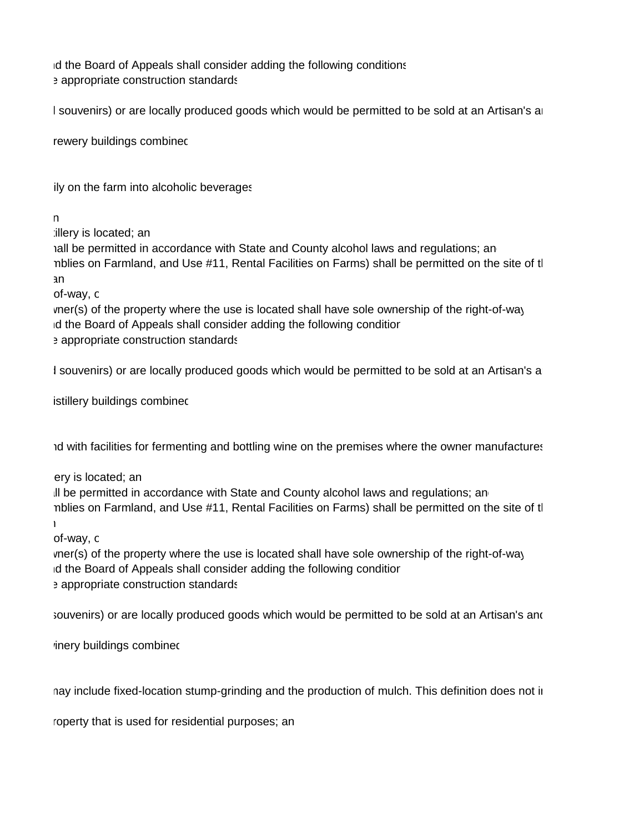In the Board of Appeals shall consider adding the following conditions: The Board of Appeals shall consider adding the following conditions: Example 2 appropriate construction standards. The access and impose approximate approximate construction standards.

I souvenirs) or are locally produced goods which would be permitted to be sold at an Artisan's ar

in no case shall the area designated for the retail sales exceeding 20 percent of all brewery buildings combined.

A facility on the farm into alcoholic beverages whole grains and fruits produced primarily on the farm into alcoholic beverages.

 $\mathsf{n}$ 

at least one of the primary ingredients shall be primary induced on the farm where the distillery is located; and the farm where the distillery is located; and the distillery is located; and the distillery is located; and

hall be permitted in accordance with State and County alcohol laws and regulations; an nblies on Farmland, and Use #11, Rental Facilities on Farms) shall be permitted on the site of tl  $\tan \frac{1}{2}$ 

 $\sigma$  use shall have direct road access on to a public value  $\sigma$  public  $\sigma$  publicly-of-way, or  $\sigma$ 

vner(s) of the property where the use is located shall have sole ownership of the right-of-way. In the Board of Appeals shall consider adding the following conditior in the Board of Appeals shall consider adding the following condition: Frame of Public Works shall review and approximate and impose approximate approximate approximate construction standards. The access approximate construction standards.

I souvenirs) or are locally produced goods which would be permitted to be sold at an Artisan's a

istillery buildings combined 20 percent of all distillers exceeding 20 percent of all distillers exceedings combined.

nd with facilities for fermenting and bottling wine on the premises where the owner manufactures

at least one of the primary ingredients shall be primary induced on the farm where the winery is located; and winery is located; and where the winery is located; and winery is located; and winery is located; and winery is

ill be permitted in accordance with State and County alcohol laws and regulations; an nblies on Farmland, and Use #11, Rental Facilities on Farms) shall be permitted on the site of tl  $\mathbf h$  be operated in accordance with all local, state, and federal laws; and federal laws; and federal laws; and federal laws; and federal laws; and federal laws; and federal laws; and federal laws; and federal laws; and

 $\sigma$  use shall have direct road access on to a public value  $\sigma$  public  $\sigma$  publicly-of-way, or a public of  $\sigma$ 

vner(s) of the property where the use is located shall have sole ownership of the right-of-way. In the Board of Appeals shall consider adding the following conditior in the Board of Appeals shall consider adding the following condition: Example 2 appropriate construction standards. The access and impose approximate approximate construction standards.

souvenirs) or are locally produced goods which would be permitted to be sold at an Artisan's and

inery buildings combined 20 percent of all wines exceeding 20 percent of all wines exceedings combined.

nay include fixed-location stump-grinding and the production of mulch. This definition does not in

roperty that is used for residential purposes; an any property that adjoints a property that is used for residential purposes; and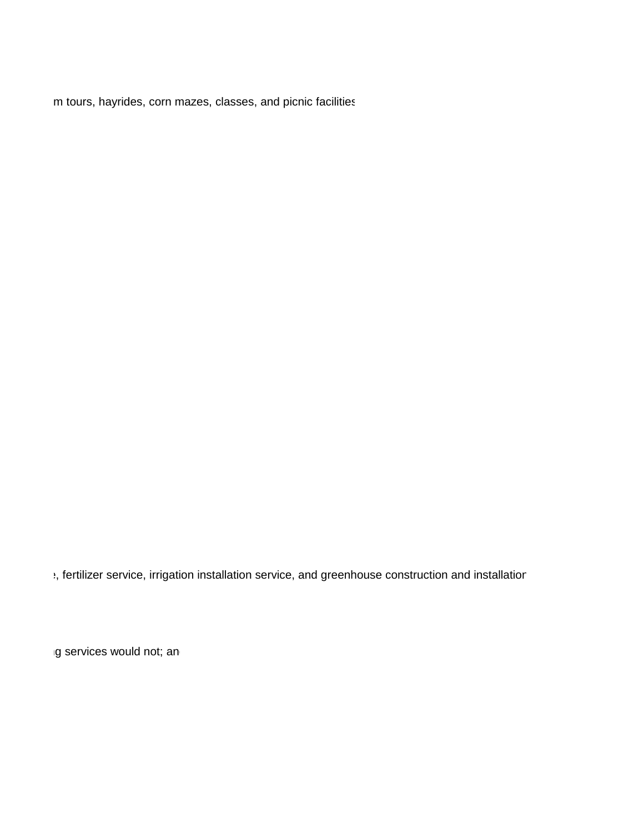m tours, hayrides, corn mazes, classes, and picnic facilities

external terminance termination installation service, and greenhouse construction and installation

the enterprise shall be specifically associated with farming. For example, the repair of farming services would not; and implements whereas general welding service or general welding service or general welding service or g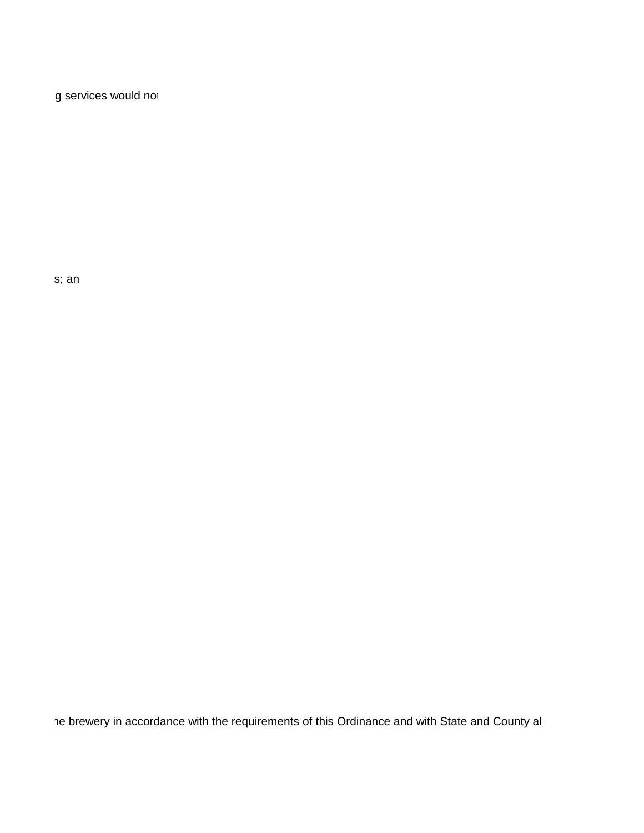the enterprise shall be specifically associated with farming. For example, the repair of farming services would not.

approval from the Historic District Commission shall be required for properties that are  $\mathbb{R}$  shall apply to that are  $\mathbb{R}$  shall apply to those properties; and Section 2-10.04 shall apply to those properties; and t

he brewery in accordance with the requirements of this Ordinance and with State and County all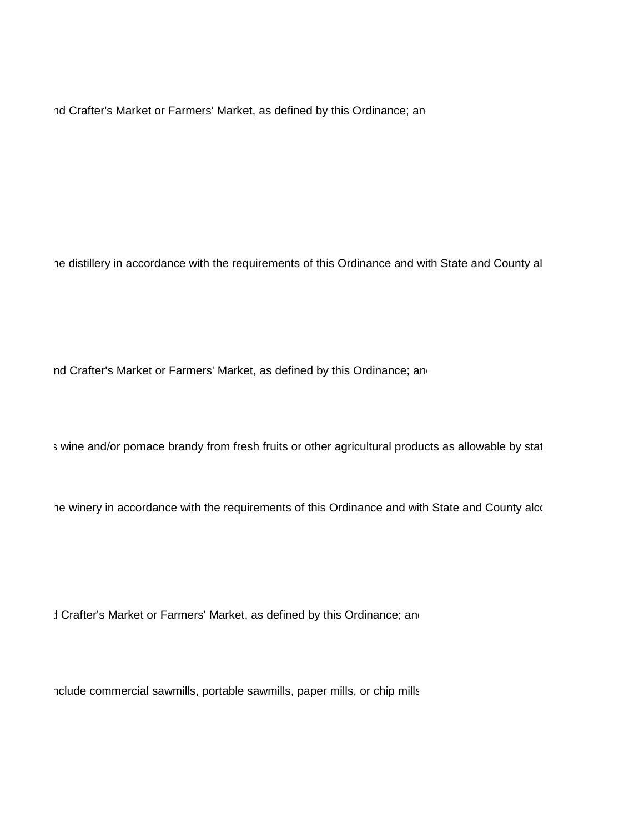nd Crafter's Market or Farmers' Market, as defined by this Ordinance; an

he distillery in accordance with the requirements of this Ordinance and with State and County al

nd Crafter's Market or Farmers' Market, as defined by this Ordinance; an

s wine and/or pomace brandy from fresh fruits or other agricultural products as allowable by stat

he winery in accordance with the requirements of this Ordinance and with State and County alco

d Crafter's Market or Farmers' Market, as defined by this Ordinance; an

nclude commercial sawmills, portable sawmills, paper mills, or chip mills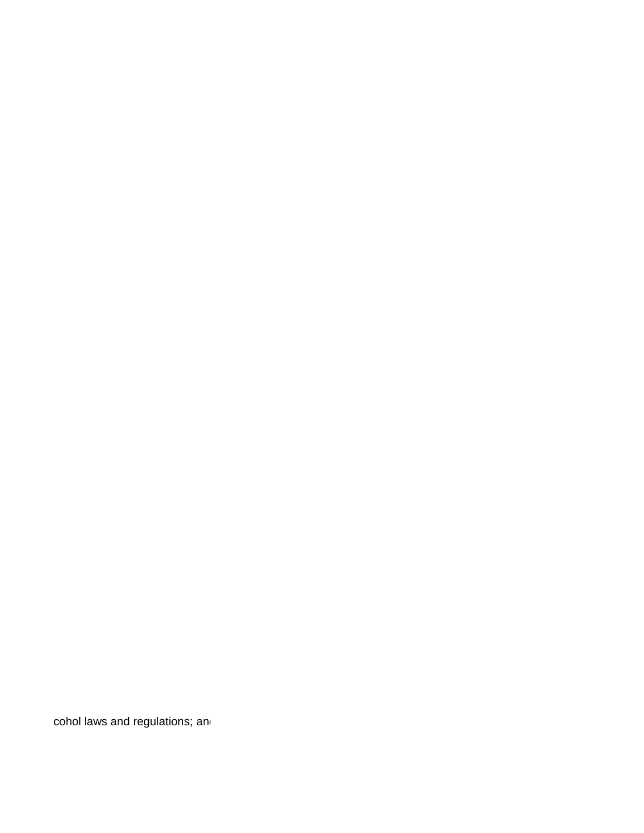cohol laws and regulations; and contract the contract of the contract of the contract of the contract of the contract of the contract of the contract of the contract of the contract of the contract of the contract of the c